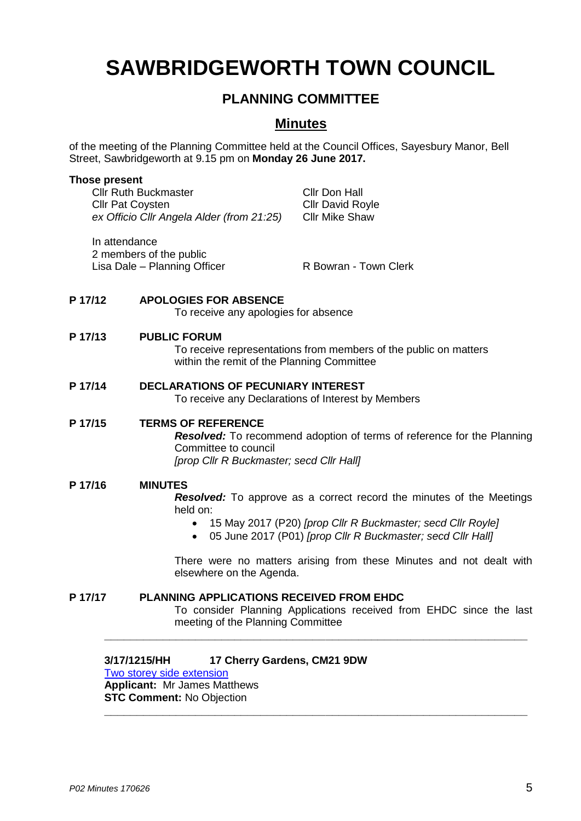# **SAWBRIDGEWORTH TOWN COUNCIL**

# **PLANNING COMMITTEE**

# **Minutes**

of the meeting of the Planning Committee held at the Council Offices, Sayesbury Manor, Bell Street, Sawbridgeworth at 9.15 pm on **Monday 26 June 2017.**

#### **Those present**

Cllr Ruth Buckmaster Cllr Don Hall **Cllr Pat Coysten Cllr David Royle** *ex Officio Cllr Angela Alder (from 21:25)* Cllr Mike Shaw

In attendance 2 members of the public Lisa Dale – Planning Officer **R** Bowran - Town Clerk

#### **P 17/12 APOLOGIES FOR ABSENCE**

To receive any apologies for absence

#### **P 17/13 PUBLIC FORUM**

To receive representations from members of the public on matters within the remit of the Planning Committee

**P 17/14 DECLARATIONS OF PECUNIARY INTEREST** To receive any Declarations of Interest by Members

#### **P 17/15 TERMS OF REFERENCE**

*Resolved:* To recommend adoption of terms of reference for the Planning Committee to council *[prop Cllr R Buckmaster; secd Cllr Hall]*

#### **P 17/16 MINUTES**

*Resolved:* To approve as a correct record the minutes of the Meetings held on:

- 15 May 2017 (P20) *[prop Cllr R Buckmaster; secd Cllr Royle]*
- 05 June 2017 (P01) *[prop Cllr R Buckmaster; secd Cllr Hall]*

There were no matters arising from these Minutes and not dealt with elsewhere on the Agenda.

#### **P 17/17 PLANNING APPLICATIONS RECEIVED FROM EHDC**

To consider Planning Applications received from EHDC since the last meeting of the Planning Committee

**\_\_\_\_\_\_\_\_\_\_\_\_\_\_\_\_\_\_\_\_\_\_\_\_\_\_\_\_\_\_\_\_\_\_\_\_\_\_\_\_\_\_\_\_\_\_\_\_\_\_\_\_\_\_\_\_\_\_\_\_\_\_\_\_\_**

**\_\_\_\_\_\_\_\_\_\_\_\_\_\_\_\_\_\_\_\_\_\_\_\_\_\_\_\_\_\_\_\_\_\_\_\_\_\_\_\_\_\_\_\_\_\_\_\_\_\_\_\_\_\_\_\_\_\_\_\_\_\_\_\_\_**

#### **3/17/1215/HH 17 Cherry Gardens, CM21 9DW**

[Two storey side extension](https://publicaccess.eastherts.gov.uk/online-applications/applicationDetails.do?activeTab=summary&keyVal=OQEV3LGLGXU00) **Applicant:** Mr James Matthews **STC Comment:** No Objection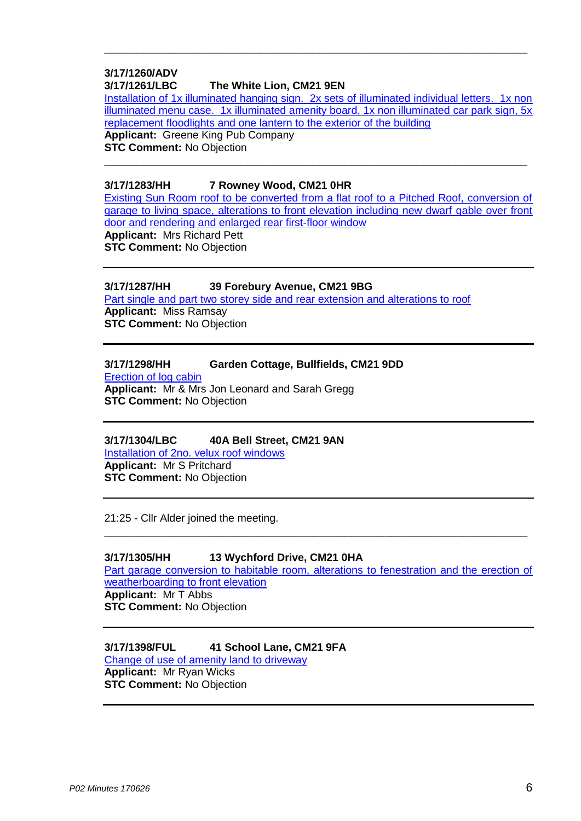#### **3/17/1260/ADV 3/17/1261/LBC The White Lion, CM21 9EN**

Installation of 1x [illuminated hanging sign. 2x sets of illuminated individual letters. 1x non](https://publicaccess.eastherts.gov.uk/online-applications/applicationDetails.do?activeTab=summary&keyVal=OQRIQ2GLH1400)  [illuminated menu case. 1x illuminated amenity board, 1x non illuminated car park sign, 5x](https://publicaccess.eastherts.gov.uk/online-applications/applicationDetails.do?activeTab=summary&keyVal=OQRIQ2GLH1400)  [replacement floodlights and one lantern to the exterior of the building](https://publicaccess.eastherts.gov.uk/online-applications/applicationDetails.do?activeTab=summary&keyVal=OQRIQ2GLH1400)

**\_\_\_\_\_\_\_\_\_\_\_\_\_\_\_\_\_\_\_\_\_\_\_\_\_\_\_\_\_\_\_\_\_\_\_\_\_\_\_\_\_\_\_\_\_\_\_\_\_\_\_\_\_\_\_\_\_\_\_\_\_\_\_\_\_**

**\_\_\_\_\_\_\_\_\_\_\_\_\_\_\_\_\_\_\_\_\_\_\_\_\_\_\_\_\_\_\_\_\_\_\_\_\_\_\_\_\_\_\_\_\_\_\_\_\_\_\_\_\_\_\_\_\_\_\_\_\_\_\_\_\_**

**Applicant:** Greene King Pub Company **STC Comment:** No Objection

#### **3/17/1283/HH 7 Rowney Wood, CM21 0HR**

[Existing Sun Room roof to be converted from a flat roof to a Pitched Roof, conversion of](https://publicaccess.eastherts.gov.uk/online-applications/applicationDetails.do?activeTab=summary&keyVal=OQTOKZGLH2300)  [garage to living space, alterations to front elevation including new dwarf gable over front](https://publicaccess.eastherts.gov.uk/online-applications/applicationDetails.do?activeTab=summary&keyVal=OQTOKZGLH2300)  [door and rendering and enlarged rear first-floor window](https://publicaccess.eastherts.gov.uk/online-applications/applicationDetails.do?activeTab=summary&keyVal=OQTOKZGLH2300) **Applicant:** Mrs Richard Pett **STC Comment:** No Objection

### **3/17/1287/HH 39 Forebury Avenue, CM21 9BG**

[Part single and part two storey side and rear extension and alterations to roof](https://publicaccess.eastherts.gov.uk/online-applications/applicationDetails.do?activeTab=summary&keyVal=OQV7YMGLH2900) **Applicant:** Miss Ramsay **STC Comment:** No Objection

### **3/17/1298/HH Garden Cottage, Bullfields, CM21 9DD**

[Erection of log cabin](https://publicaccess.eastherts.gov.uk/online-applications/applicationDetails.do?activeTab=summary&keyVal=OR2BLIGLH3A00) **Applicant:** Mr & Mrs Jon Leonard and Sarah Gregg **STC Comment:** No Objection

#### **3/17/1304/LBC 40A Bell Street, CM21 9AN**

[Installation of 2no. velux roof windows](https://publicaccess.eastherts.gov.uk/online-applications/applicationDetails.do?activeTab=summary&keyVal=OR2M7IGL00X00) **Applicant:** Mr S Pritchard **STC Comment:** No Objection

21:25 - Cllr Alder joined the meeting.

#### **3/17/1305/HH 13 Wychford Drive, CM21 0HA**

Part garage conversion to habitable room, alterations to fenestration and the erection of [weatherboarding to front elevation](https://publicaccess.eastherts.gov.uk/online-applications/applicationDetails.do?activeTab=summary&keyVal=OR2MBFGL00X00) **Applicant:** Mr T Abbs **STC Comment:** No Objection

**\_\_\_\_\_\_\_\_\_\_\_\_\_\_\_\_\_\_\_\_\_\_\_\_\_\_\_\_\_\_\_\_\_\_\_\_\_\_\_\_\_\_\_\_\_\_\_\_\_\_\_\_\_\_\_\_\_\_\_\_\_\_\_\_\_**

## **3/17/1398/FUL 41 School Lane, CM21 9FA**

[Change of use of amenity land to driveway](https://publicaccess.eastherts.gov.uk/online-applications/applicationDetails.do?activeTab=summary&keyVal=ORLDWNGL00B00) **Applicant:** Mr Ryan Wicks **STC Comment:** No Objection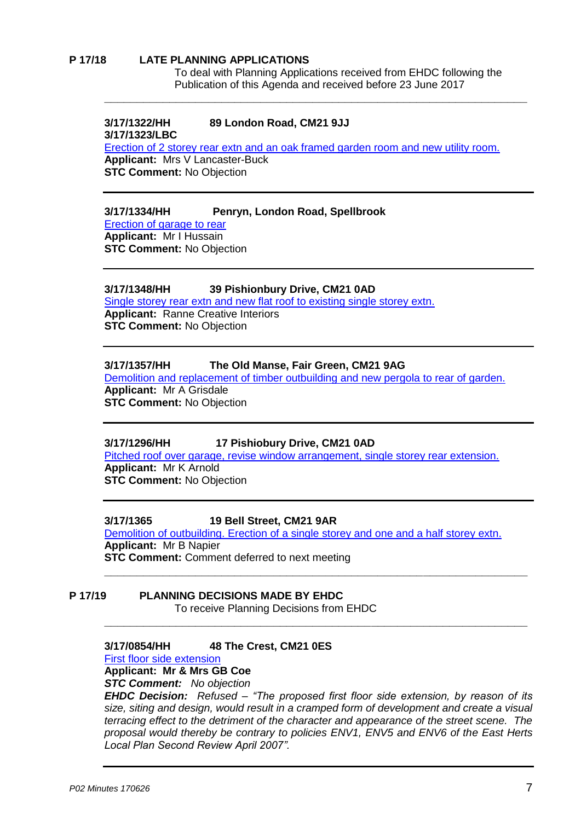#### **P 17/18 LATE PLANNING APPLICATIONS**

To deal with Planning Applications received from EHDC following the Publication of this Agenda and received before 23 June 2017

#### **3/17/1322/HH 89 London Road, CM21 9JJ 3/17/1323/LBC**

[Erection of 2 storey rear extn and an oak framed garden room and new utility room.](https://publicaccess.eastherts.gov.uk/online-applications/applicationDetails.do?activeTab=summary&keyVal=OQTOKZGLH2300) **Applicant:** Mrs V Lancaster-Buck **STC Comment:** No Objection

**\_\_\_\_\_\_\_\_\_\_\_\_\_\_\_\_\_\_\_\_\_\_\_\_\_\_\_\_\_\_\_\_\_\_\_\_\_\_\_\_\_\_\_\_\_\_\_\_\_\_\_\_\_\_\_\_\_\_\_\_\_\_\_\_\_**

#### **3/17/1334/HH Penryn, London Road, Spellbrook**

[Erection of garage to rear](https://publicaccess.eastherts.gov.uk/online-applications/applicationDetails.do?activeTab=summary&keyVal=OQV7YMGLH2900) **Applicant:** Mr I Hussain **STC Comment:** No Objection

#### **3/17/1348/HH 39 Pishionbury Drive, CM21 0AD**

[Single storey rear extn and new flat roof to existing single storey extn.](https://publicaccess.eastherts.gov.uk/online-applications/applicationDetails.do?activeTab=summary&keyVal=OR2BLIGLH3A00) **Applicant:** Ranne Creative Interiors **STC Comment:** No Objection

#### **3/17/1357/HH The Old Manse, Fair Green, CM21 9AG**

[Demolition and replacement of timber outbuilding and new pergola](https://publicaccess.eastherts.gov.uk/online-applications/applicationDetails.do?activeTab=summary&keyVal=OR2M7IGL00X00) to rear of garden. **Applicant:** Mr A Grisdale **STC Comment:** No Objection

#### **3/17/1296/HH 17 Pishiobury Drive, CM21 0AD**

[Pitched roof over garage, revise window arrangement, single storey rear extension.](https://publicaccess.eastherts.gov.uk/online-applications/applicationDetails.do?activeTab=summary&keyVal=OR2MBFGL00X00) **Applicant:** Mr K Arnold **STC Comment:** No Objection

#### **3/17/1365 19 Bell Street, CM21 9AR**

[Demolition of outbuilding. Erection of a single storey and one and a half storey extn.](https://publicaccess.eastherts.gov.uk/online-applications/applicationDetails.do?activeTab=summary&keyVal=ORLDWNGL00B00) **Applicant:** Mr B Napier **STC Comment:** Comment deferred to next meeting

**\_\_\_\_\_\_\_\_\_\_\_\_\_\_\_\_\_\_\_\_\_\_\_\_\_\_\_\_\_\_\_\_\_\_\_\_\_\_\_\_\_\_\_\_\_\_\_\_\_\_\_\_\_\_\_\_\_\_\_\_\_\_\_\_\_**

**\_\_\_\_\_\_\_\_\_\_\_\_\_\_\_\_\_\_\_\_\_\_\_\_\_\_\_\_\_\_\_\_\_\_\_\_\_\_\_\_\_\_\_\_\_\_\_\_\_\_\_\_\_\_\_\_\_\_\_\_\_\_\_\_\_**

# **P 17/19 PLANNING DECISIONS MADE BY EHDC**

To receive Planning Decisions from EHDC

#### **3/17/0854/HH 48 The Crest, CM21 0ES**

[First floor side extension](https://publicaccess.eastherts.gov.uk/online-applications/applicationDetails.do?activeTab=summary&keyVal=ONZDU9GL00X00)

**Applicant: Mr & Mrs GB Coe**

*STC Comment: No objection*

*EHDC Decision: Refused – "The proposed first floor side extension, by reason of its size, siting and design, would result in a cramped form of development and create a visual terracing effect to the detriment of the character and appearance of the street scene. The proposal would thereby be contrary to policies ENV1, ENV5 and ENV6 of the East Herts Local Plan Second Review April 2007".*